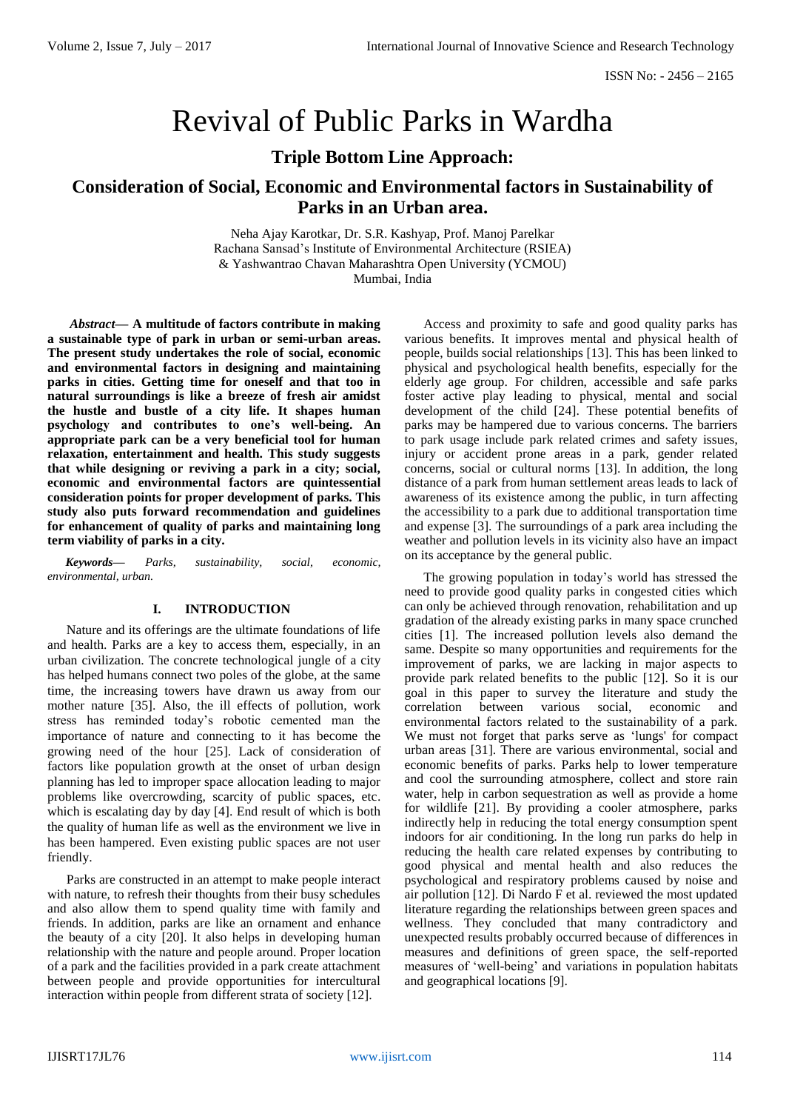# Revival of Public Parks in Wardha

# **Triple Bottom Line Approach:**

# **Consideration of Social, Economic and Environmental factors in Sustainability of Parks in an Urban area.**

Neha Ajay Karotkar, Dr. S.R. Kashyap, Prof. Manoj Parelkar Rachana Sansad's Institute of Environmental Architecture (RSIEA) & Yashwantrao Chavan Maharashtra Open University (YCMOU) Mumbai, India

*Abstract***— A multitude of factors contribute in making a sustainable type of park in urban or semi-urban areas. The present study undertakes the role of social, economic and environmental factors in designing and maintaining parks in cities. Getting time for oneself and that too in natural surroundings is like a breeze of fresh air amidst the hustle and bustle of a city life. It shapes human psychology and contributes to one's well-being. An appropriate park can be a very beneficial tool for human relaxation, entertainment and health. This study suggests that while designing or reviving a park in a city; social, economic and environmental factors are quintessential consideration points for proper development of parks. This study also puts forward recommendation and guidelines for enhancement of quality of parks and maintaining long term viability of parks in a city.** 

*Keywords— Parks, sustainability, social, economic, environmental, urban.*

# **I. INTRODUCTION**

Nature and its offerings are the ultimate foundations of life and health. Parks are a key to access them, especially, in an urban civilization. The concrete technological jungle of a city has helped humans connect two poles of the globe, at the same time, the increasing towers have drawn us away from our mother nature [35]. Also, the ill effects of pollution, work stress has reminded today's robotic cemented man the importance of nature and connecting to it has become the growing need of the hour [25]. Lack of consideration of factors like population growth at the onset of urban design planning has led to improper space allocation leading to major problems like overcrowding, scarcity of public spaces, etc. which is escalating day by day [4]. End result of which is both the quality of human life as well as the environment we live in has been hampered. Even existing public spaces are not user friendly.

Parks are constructed in an attempt to make people interact with nature, to refresh their thoughts from their busy schedules and also allow them to spend quality time with family and friends. In addition, parks are like an ornament and enhance the beauty of a city [20]. It also helps in developing human relationship with the nature and people around. Proper location of a park and the facilities provided in a park create attachment between people and provide opportunities for intercultural interaction within people from different strata of society [12].

Access and proximity to safe and good quality parks has various benefits. It improves mental and physical health of people, builds social relationships [13]. This has been linked to physical and psychological health benefits, especially for the elderly age group. For children, accessible and safe parks foster active play leading to physical, mental and social development of the child [24]. These potential benefits of parks may be hampered due to various concerns. The barriers to park usage include park related crimes and safety issues, injury or accident prone areas in a park, gender related concerns, social or cultural norms [13]. In addition, the long distance of a park from human settlement areas leads to lack of awareness of its existence among the public, in turn affecting the accessibility to a park due to additional transportation time and expense [3]. The surroundings of a park area including the weather and pollution levels in its vicinity also have an impact on its acceptance by the general public.

The growing population in today's world has stressed the need to provide good quality parks in congested cities which can only be achieved through renovation, rehabilitation and up gradation of the already existing parks in many space crunched cities [1]. The increased pollution levels also demand the same. Despite so many opportunities and requirements for the improvement of parks, we are lacking in major aspects to provide park related benefits to the public [12]. So it is our goal in this paper to survey the literature and study the correlation between various social, economic and environmental factors related to the sustainability of a park. We must not forget that parks serve as 'lungs' for compact urban areas [31]. There are various environmental, social and economic benefits of parks. Parks help to lower temperature and cool the surrounding atmosphere, collect and store rain water, help in carbon sequestration as well as provide a home for wildlife [21]. By providing a cooler atmosphere, parks indirectly help in reducing the total energy consumption spent indoors for air conditioning. In the long run parks do help in reducing the health care related expenses by contributing to good physical and mental health and also reduces the psychological and respiratory problems caused by noise and air pollution [12]. Di Nardo F et al. reviewed the most updated literature regarding the relationships between green spaces and wellness. They concluded that many contradictory and unexpected results probably occurred because of differences in measures and definitions of green space, the self-reported measures of 'well-being' and variations in population habitats and geographical locations [9].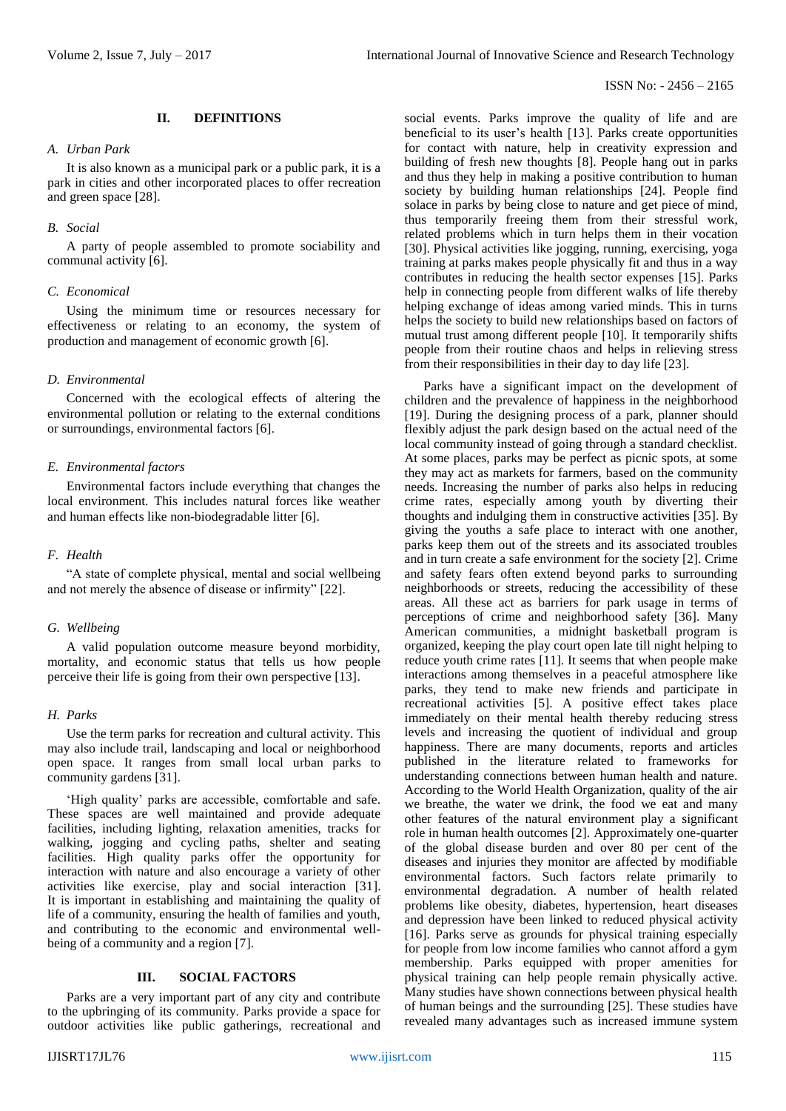# ISSN No: - 2456 – 2165

**II. DEFINITIONS**

# *A. Urban Park*

It is also known as a municipal park or a public park, it is a park in cities and other incorporated places to offer recreation and green space [28].

#### *B. Social*

A party of people assembled to promote sociability and communal activity [6].

# *C. Economical*

Using the minimum time or resources necessary for effectiveness or relating to an economy, the system of production and management of economic growth [6].

#### *D. Environmental*

Concerned with the ecological effects of altering the environmental pollution or relating to the external conditions or surroundings, environmental factors [6].

# *E. Environmental factors*

Environmental factors include everything that changes the local environment. This includes natural forces like weather and human effects like non-biodegradable litter [6].

#### *F. Health*

"A state of complete physical, mental and social wellbeing and not merely the absence of disease or infirmity" [22].

## *G. Wellbeing*

A valid population outcome measure beyond morbidity, mortality, and economic status that tells us how people perceive their life is going from their own perspective [13].

# *H. Parks*

Use the term parks for recreation and cultural activity. This may also include trail, landscaping and local or neighborhood open space. It ranges from small local urban parks to community gardens [31].

'High quality' parks are accessible, comfortable and safe. These spaces are well maintained and provide adequate facilities, including lighting, relaxation amenities, tracks for walking, jogging and cycling paths, shelter and seating facilities. High quality parks offer the opportunity for interaction with nature and also encourage a variety of other activities like exercise, play and social interaction [31]. It is important in establishing and maintaining the quality of life of a community, ensuring the health of families and youth, and contributing to the economic and environmental wellbeing of a community and a region [7].

# **III. SOCIAL FACTORS**

Parks are a very important part of any city and contribute to the upbringing of its community. Parks provide a space for outdoor activities like public gatherings, recreational and beneficial to its user's health [13]. Parks create opportunities for contact with nature, help in creativity expression and building of fresh new thoughts [8]. People hang out in parks and thus they help in making a positive contribution to human society by building human relationships [24]. People find solace in parks by being close to nature and get piece of mind, thus temporarily freeing them from their stressful work, related problems which in turn helps them in their vocation [30]. Physical activities like jogging, running, exercising, yoga training at parks makes people physically fit and thus in a way contributes in reducing the health sector expenses [15]. Parks help in connecting people from different walks of life thereby helping exchange of ideas among varied minds. This in turns helps the society to build new relationships based on factors of mutual trust among different people [10]. It temporarily shifts people from their routine chaos and helps in relieving stress from their responsibilities in their day to day life [23].

social events. Parks improve the quality of life and are

Parks have a significant impact on the development of children and the prevalence of happiness in the neighborhood [19]. During the designing process of a park, planner should flexibly adjust the park design based on the actual need of the local community instead of going through a standard checklist. At some places, parks may be perfect as picnic spots, at some they may act as markets for farmers, based on the community needs. Increasing the number of parks also helps in reducing crime rates, especially among youth by diverting their thoughts and indulging them in constructive activities [35]. By giving the youths a safe place to interact with one another, parks keep them out of the streets and its associated troubles and in turn create a safe environment for the society [2]. Crime and safety fears often extend beyond parks to surrounding neighborhoods or streets, reducing the accessibility of these areas. All these act as barriers for park usage in terms of perceptions of crime and neighborhood safety [36]. Many American communities, a midnight basketball program is organized, keeping the play court open late till night helping to reduce youth crime rates [11]. It seems that when people make interactions among themselves in a peaceful atmosphere like parks, they tend to make new friends and participate in recreational activities [5]. A positive effect takes place immediately on their mental health thereby reducing stress levels and increasing the quotient of individual and group happiness. There are many documents, reports and articles published in the literature related to frameworks for understanding connections between human health and nature. According to the World Health Organization, quality of the air we breathe, the water we drink, the food we eat and many other features of the natural environment play a significant role in human health outcomes [2]. Approximately one-quarter of the global disease burden and over 80 per cent of the diseases and injuries they monitor are affected by modifiable environmental factors. Such factors relate primarily to environmental degradation. A number of health related problems like obesity, diabetes, hypertension, heart diseases and depression have been linked to reduced physical activity [16]. Parks serve as grounds for physical training especially for people from low income families who cannot afford a gym membership. Parks equipped with proper amenities for physical training can help people remain physically active. Many studies have shown connections between physical health of human beings and the surrounding [25]. These studies have revealed many advantages such as increased immune system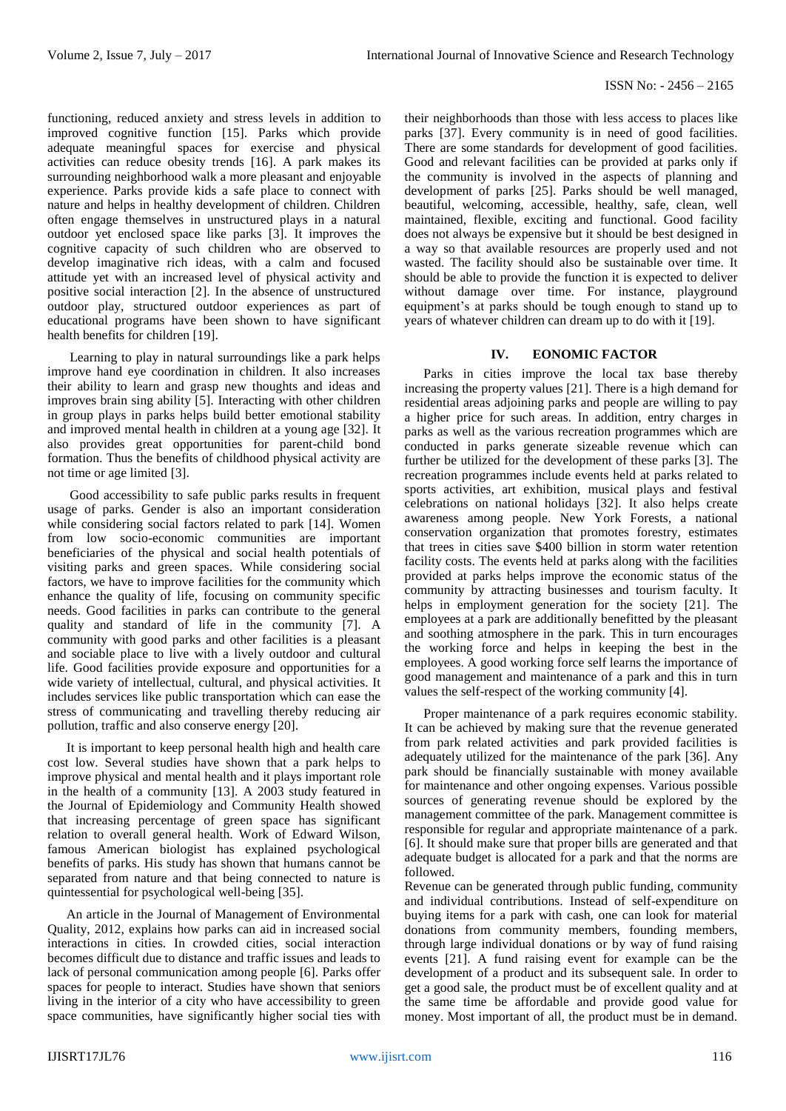functioning, reduced anxiety and stress levels in addition to improved cognitive function [15]. Parks which provide adequate meaningful spaces for exercise and physical activities can reduce obesity trends [16]. A park makes its surrounding neighborhood walk a more pleasant and enjoyable experience. Parks provide kids a safe place to connect with nature and helps in healthy development of children. Children often engage themselves in unstructured plays in a natural outdoor yet enclosed space like parks [3]. It improves the cognitive capacity of such children who are observed to develop imaginative rich ideas, with a calm and focused attitude yet with an increased level of physical activity and positive social interaction [2]. In the absence of unstructured outdoor play, structured outdoor experiences as part of educational programs have been shown to have significant health benefits for children [19].

Learning to play in natural surroundings like a park helps improve hand eye coordination in children. It also increases their ability to learn and grasp new thoughts and ideas and improves brain sing ability [5]. Interacting with other children in group plays in parks helps build better emotional stability and improved mental health in children at a young age [32]. It also provides great opportunities for parent-child bond formation. Thus the benefits of childhood physical activity are not time or age limited [3].

Good accessibility to safe public parks results in frequent usage of parks. Gender is also an important consideration while considering social factors related to park [14]. Women from low socio-economic communities are important beneficiaries of the physical and social health potentials of visiting parks and green spaces. While considering social factors, we have to improve facilities for the community which enhance the quality of life, focusing on community specific needs. Good facilities in parks can contribute to the general quality and standard of life in the community [7]. A community with good parks and other facilities is a pleasant and sociable place to live with a lively outdoor and cultural life. Good facilities provide exposure and opportunities for a wide variety of intellectual, cultural, and physical activities. It includes services like public transportation which can ease the stress of communicating and travelling thereby reducing air pollution, traffic and also conserve energy [20].

It is important to keep personal health high and health care cost low. Several studies have shown that a park helps to improve physical and mental health and it plays important role in the health of a community [13]. A 2003 study featured in the Journal of Epidemiology and Community Health showed that increasing percentage of green space has significant relation to overall general health. Work of Edward Wilson, famous American biologist has explained psychological benefits of parks. His study has shown that humans cannot be separated from nature and that being connected to nature is quintessential for psychological well-being [35].

An article in the Journal of Management of Environmental Quality, 2012, explains how parks can aid in increased social interactions in cities. In crowded cities, social interaction becomes difficult due to distance and traffic issues and leads to lack of personal communication among people [6]. Parks offer spaces for people to interact. Studies have shown that seniors living in the interior of a city who have accessibility to green space communities, have significantly higher social ties with

their neighborhoods than those with less access to places like parks [37]. Every community is in need of good facilities. There are some standards for development of good facilities. Good and relevant facilities can be provided at parks only if the community is involved in the aspects of planning and development of parks [25]. Parks should be well managed, beautiful, welcoming, accessible, healthy, safe, clean, well maintained, flexible, exciting and functional. Good facility does not always be expensive but it should be best designed in a way so that available resources are properly used and not wasted. The facility should also be sustainable over time. It should be able to provide the function it is expected to deliver without damage over time. For instance, playground equipment's at parks should be tough enough to stand up to years of whatever children can dream up to do with it [19].

# **IV. EONOMIC FACTOR**

Parks in cities improve the local tax base thereby increasing the property values [21]. There is a high demand for residential areas adjoining parks and people are willing to pay a higher price for such areas. In addition, entry charges in parks as well as the various recreation programmes which are conducted in parks generate sizeable revenue which can further be utilized for the development of these parks [3]. The recreation programmes include events held at parks related to sports activities, art exhibition, musical plays and festival celebrations on national holidays [32]. It also helps create awareness among people. New York Forests, a national conservation organization that promotes forestry, estimates that trees in cities save \$400 billion in storm water retention facility costs. The events held at parks along with the facilities provided at parks helps improve the economic status of the community by attracting businesses and tourism faculty. It helps in employment generation for the society [21]. The employees at a park are additionally benefitted by the pleasant and soothing atmosphere in the park. This in turn encourages the working force and helps in keeping the best in the employees. A good working force self learns the importance of good management and maintenance of a park and this in turn values the self-respect of the working community [4].

Proper maintenance of a park requires economic stability. It can be achieved by making sure that the revenue generated from park related activities and park provided facilities is adequately utilized for the maintenance of the park [36]. Any park should be financially sustainable with money available for maintenance and other ongoing expenses. Various possible sources of generating revenue should be explored by the management committee of the park. Management committee is responsible for regular and appropriate maintenance of a park. [6]. It should make sure that proper bills are generated and that adequate budget is allocated for a park and that the norms are followed.

Revenue can be generated through public funding, community and individual contributions. Instead of self-expenditure on buying items for a park with cash, one can look for material donations from community members, founding members, through large individual donations or by way of fund raising events [21]. A fund raising event for example can be the development of a product and its subsequent sale. In order to get a good sale, the product must be of excellent quality and at the same time be affordable and provide good value for money. Most important of all, the product must be in demand.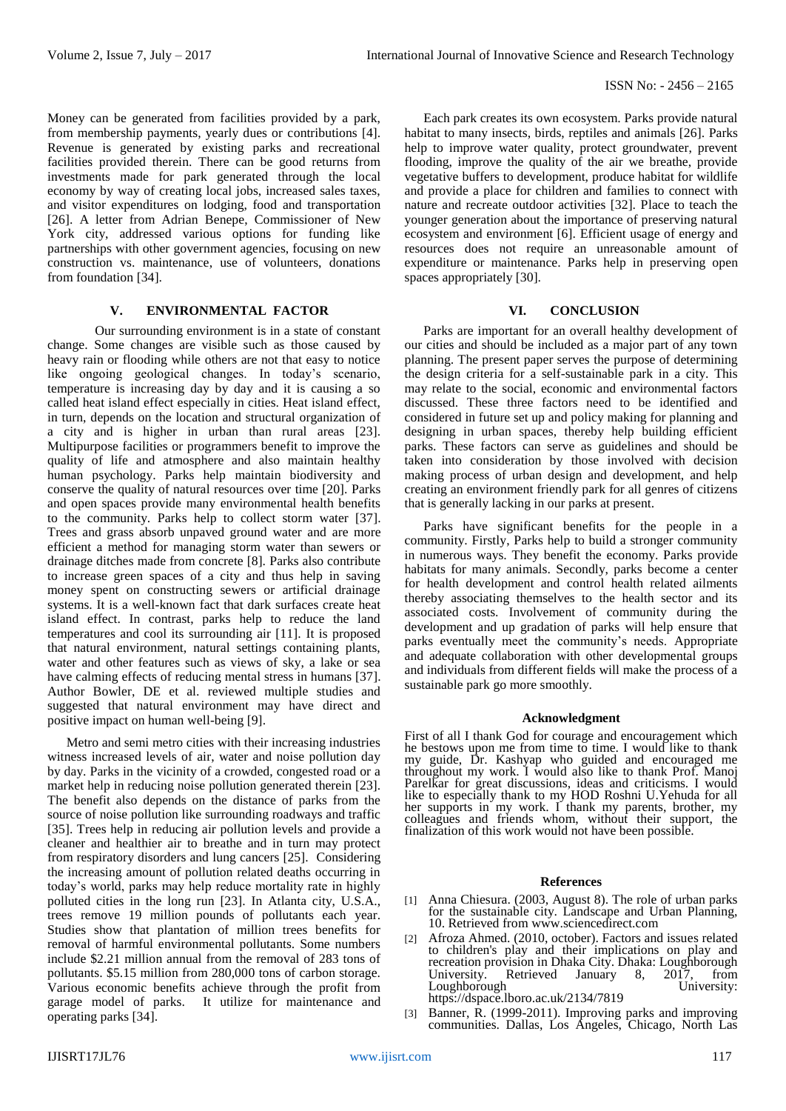Money can be generated from facilities provided by a park, from membership payments, yearly dues or contributions [4]. Revenue is generated by existing parks and recreational facilities provided therein. There can be good returns from investments made for park generated through the local economy by way of creating local jobs, increased sales taxes, and visitor expenditures on lodging, food and transportation [26]. A letter from Adrian Benepe, Commissioner of New York city, addressed various options for funding like partnerships with other government agencies, focusing on new construction vs. maintenance, use of volunteers, donations from foundation [34].

# **V. ENVIRONMENTAL FACTOR**

Our surrounding environment is in a state of constant change. Some changes are visible such as those caused by heavy rain or flooding while others are not that easy to notice like ongoing geological changes. In today's scenario, temperature is increasing day by day and it is causing a so called heat island effect especially in cities. Heat island effect, in turn, depends on the location and structural organization of a city and is higher in urban than rural areas [23]. Multipurpose facilities or programmers benefit to improve the quality of life and atmosphere and also maintain healthy human psychology. Parks help maintain biodiversity and conserve the quality of natural resources over time [20]. Parks and open spaces provide many environmental health benefits to the community. Parks help to collect storm water [37]. Trees and grass absorb unpaved ground water and are more efficient a method for managing storm water than sewers or drainage ditches made from concrete [8]. Parks also contribute to increase green spaces of a city and thus help in saving money spent on constructing sewers or artificial drainage systems. It is a well-known fact that dark surfaces create heat island effect. In contrast, parks help to reduce the land temperatures and cool its surrounding air [11]. It is proposed that natural environment, natural settings containing plants, water and other features such as views of sky, a lake or sea have calming effects of reducing mental stress in humans [37]. Author Bowler, DE et al. reviewed multiple studies and suggested that natural environment may have direct and positive impact on human well-being [9].

Metro and semi metro cities with their increasing industries witness increased levels of air, water and noise pollution day by day. Parks in the vicinity of a crowded, congested road or a market help in reducing noise pollution generated therein [23]. The benefit also depends on the distance of parks from the source of noise pollution like surrounding roadways and traffic [35]. Trees help in reducing air pollution levels and provide a cleaner and healthier air to breathe and in turn may protect from respiratory disorders and lung cancers [25]. Considering the increasing amount of pollution related deaths occurring in today's world, parks may help reduce mortality rate in highly polluted cities in the long run [23]. In Atlanta city, U.S.A., trees remove 19 million pounds of pollutants each year. Studies show that plantation of million trees benefits for removal of harmful environmental pollutants. Some numbers include \$2.21 million annual from the removal of 283 tons of pollutants. \$5.15 million from 280,000 tons of carbon storage. Various economic benefits achieve through the profit from garage model of parks. It utilize for maintenance and operating parks [34].

Each park creates its own ecosystem. Parks provide natural habitat to many insects, birds, reptiles and animals [26]. Parks help to improve water quality, protect groundwater, prevent flooding, improve the quality of the air we breathe, provide vegetative buffers to development, produce habitat for wildlife and provide a place for children and families to connect with nature and recreate outdoor activities [32]. Place to teach the younger generation about the importance of preserving natural ecosystem and environment [6]. Efficient usage of energy and resources does not require an unreasonable amount of expenditure or maintenance. Parks help in preserving open spaces appropriately [30].

# **VI. CONCLUSION**

Parks are important for an overall healthy development of our cities and should be included as a major part of any town planning. The present paper serves the purpose of determining the design criteria for a self-sustainable park in a city. This may relate to the social, economic and environmental factors discussed. These three factors need to be identified and considered in future set up and policy making for planning and designing in urban spaces, thereby help building efficient parks. These factors can serve as guidelines and should be taken into consideration by those involved with decision making process of urban design and development, and help creating an environment friendly park for all genres of citizens that is generally lacking in our parks at present.

Parks have significant benefits for the people in a community. Firstly, Parks help to build a stronger community in numerous ways. They benefit the economy. Parks provide habitats for many animals. Secondly, parks become a center for health development and control health related ailments thereby associating themselves to the health sector and its associated costs. Involvement of community during the development and up gradation of parks will help ensure that parks eventually meet the community's needs. Appropriate and adequate collaboration with other developmental groups and individuals from different fields will make the process of a sustainable park go more smoothly.

# **Acknowledgment**

First of all I thank God for courage and encouragement which he bestows upon me from time to time. I would like to thank my guide, Dr. Kashyap who guided and encouraged me throughout my work. I would also like to thank Prof. Manoj Parelkar for great discussions, ideas and criticisms. I would like to especially thank to my HOD Roshni U.Yehuda for all her supports in my work. I thank my parents, brother, my colleagues and friends whom, without their support, the finalization of this work would not have been possible.

# **References**

- [1] Anna Chiesura. (2003, August 8). The role of urban parks for the sustainable city. Landscape and Urban Planning, 10. Retrieved from www.sciencedirect.com
- [2] Afroza Ahmed. (2010, october). Factors and issues related to children's play and their implications on play and recreation provision in Dhaka City. Dhaka: Loughborough University. Retrieved January 8, 2017, from Loughborough University: https://dspace.lboro.ac.uk/2134/7819
- [3] Banner, R. (1999-2011). Improving parks and improving communities. Dallas, Los Angeles, Chicago, North Las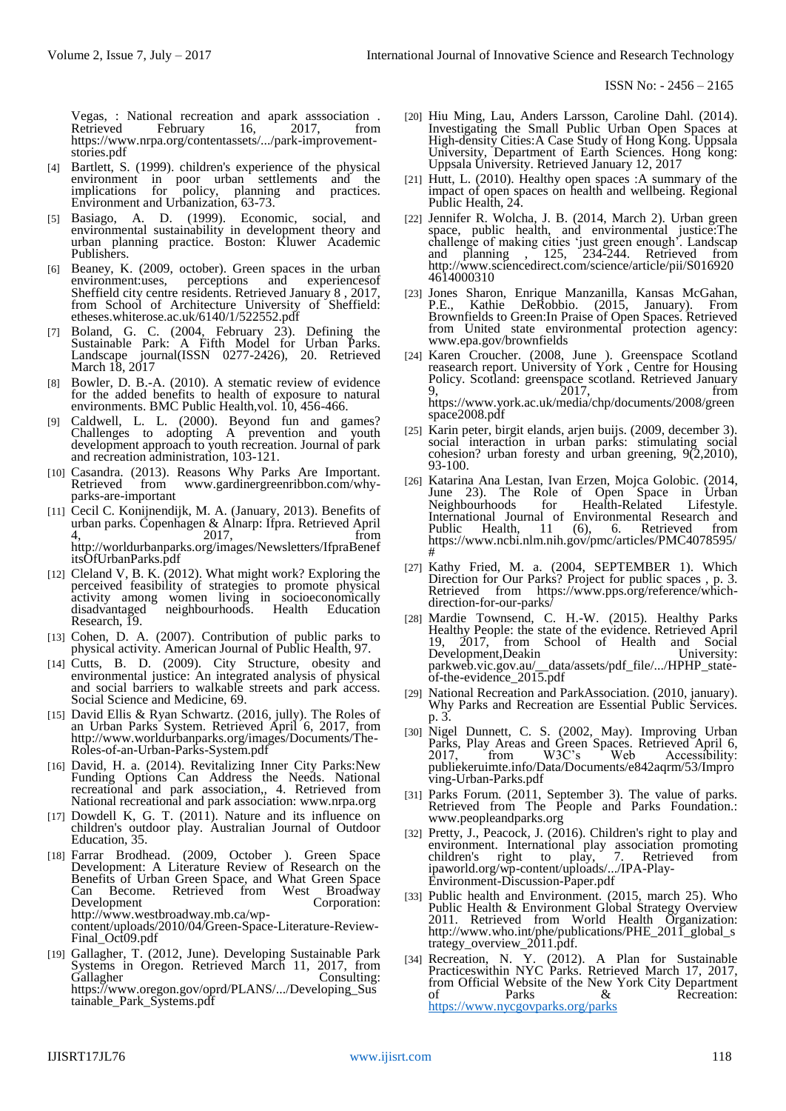Vegas, : National recreation and apark asssociation . February https://www.nrpa.org/contentassets/.../park-improvementstories.pdf

- [4] Bartlett, S. (1999). children's experience of the physical environment in poor urban settlements and the implications for policy, planning and practices. Environment and Urbanization, 63-73.
- [5] Basiago, A. D. (1999). Economic, social, and environmental sustainability in development theory and urban planning practice. Boston: Kluwer Academic Publishers.
- [6] Beaney, K. (2009, october). Green spaces in the urban environment:uses, perceptions and experiencesof Sheffield city centre residents. Retrieved January 8 , 2017, from School of Architecture University of Sheffield: etheses.whiterose.ac.uk/6140/1/522552.pdf
- [7] Boland, G. C. (2004, February 23). Defining the Sustainable Park: A Fifth Model for Urban Parks. Landscape journal(ISSN 0277-2426), 20. Retrieved March 18, 2017
- [8] Bowler, D. B.-A. (2010). A stematic review of evidence for the added benefits to health of exposure to natural environments. BMC Public Health, vol. 10, 456-466.
- [9] Caldwell, L. L. (2000). Beyond fun and games? Challenges to adopting A prevention and youth development approach to youth recreation. Journal of park and recreation administration, 103-121.
- [10] Casandra. (2013). Reasons Why Parks Are Important. from www.gardinergreenribbon.com/whyparks-are-important
- [11] Cecil C. Konijnendijk, M. A. (January, 2013). Benefits of urban parks. Copenhagen & Alnarp: Ifpra. Retrieved April 4,  $\frac{1}{2017}$ ,  $\frac{1}{1}$ ,  $\frac{1}{1}$  from http://worldurbanparks.org/images/Newsletters/IfpraBenef itsOfUrbanParks.pdf
- [12] Cleland V, B. K. (2012). What might work? Exploring the perceived feasibility of strategies to promote physical activity among women living in socioeconomically disadvantaged neighbourhoods. Health Education neighbourhoods. Research, 19.
- [13] Cohen, D. A. (2007). Contribution of public parks to physical activity. American Journal of Public Health, 97.
- [14] Cutts, B. D. (2009). City Structure, obesity and environmental justice: An integrated analysis of physical and social barriers to walkable streets and park access. Social Science and Medicine, 69.
- [15] David Ellis & Ryan Schwartz. (2016, jully). The Roles of an Urban Parks System. Retrieved April 6, 2017, from http://www.worldurbanparks.org/images/Documents/The-Roles-of-an-Urban-Parks-System.pdf
- [16] David, H. a. (2014). Revitalizing Inner City Parks:New Funding Options Can Address the Needs. National recreational and park association,, 4. Retrieved from National recreational and park association: www.nrpa.org
- [17] Dowdell K, G. T. (2011). Nature and its influence on children's outdoor play. Australian Journal of Outdoor Education, 35.
- [18] Farrar Brodhead. (2009, October ). Green Space Development: A Literature Review of Research on the Benefits of Urban Green Space, and What Green Space Can Become. Retrieved from West Broadway Development Corporation: http://www.westbroadway.mb.ca/wpcontent/uploads/2010/04/Green-Space-Literature-Review-Final\_Oct09.pdf
- [19] Gallagher, T. (2012, June). Developing Sustainable Park Systems in Oregon. Retrieved March 11, 2017, from Consulting: https://www.oregon.gov/oprd/PLANS/.../Developing\_Sus tainable\_Park\_Systems.pdf
- [20] Hiu Ming, Lau, Anders Larsson, Caroline Dahl. (2014). Investigating the Small Public Urban Open Spaces at High-density Cities:A Case Study of Hong Kong. Uppsala University, Department of Earth Sciences. Hong kong: Uppsala University. Retrieved January 12, 2017
- [21] Hutt, L. (2010). Healthy open spaces :A summary of the impact of open spaces on health and wellbeing. Regional Public Health, 24.
- [22] Jennifer R. Wolcha, J. B. (2014, March 2). Urban green space, public health, and environmental justice:The challenge of making cities 'just green enough'. Landscap and planning , 125, 234-244. Retrieved from and planning , 125, 234-244. Retrieved from<br>http://www.sciencedirect.com/science/article/pii/S016920 4614000310
- [23] Jones Sharon, Enrique Manzanilla, Kansas McGahan, P.E., Kathie DeRobbio. (2015, January). From Brownfields to Green:In Praise of Open Spaces. Retrieved from United state environmental protection agency: www.epa.gov/brownfields
- [24] Karen Croucher. (2008, June ). Greenspace Scotland reasearch report. University of York , Centre for Housing Policy. Scotland: greenspace scotland. Retrieved January 9, 2017, from https://www.york.ac.uk/media/chp/documents/2008/green space2008.pdf
- [25] Karin peter, birgit elands, arjen buijs. (2009, december 3). social interaction in urban parks: stimulating social cohesion? urban foresty and urban greening, 9(2,2010), 93-100.
- [26] Katarina Ana Lestan, Ivan Erzen, Mojca Golobic. (2014, June 23). The Role of Open Space in Urban<br>Neighbourhoods for Health-Related Lifestyle. Neighbourhoods for Health-Related Lifestyle. International Journal of Environmental Research and Public Health, 11 (6), 6. Retrieved from https://www.ncbi.nlm.nih.gov/pmc/articles/PMC4078595/ #
- [27] Kathy Fried, M. a. (2004, SEPTEMBER 1). Which Direction for Our Parks? Project for public spaces , p. 3. Retrieved from https://www.pps.org/reference/whichdirection-for-our-parks/
- [28] Mardie Townsend, C. H.-W. (2015). Healthy Parks Healthy People: the state of the evidence. Retrieved April 19, 2017, from School of Health and Social Development,Deakin University: parkweb.vic.gov.au/\_\_data/assets/pdf\_file/.../HPHP\_stateparkweb.vic.gov.au/\_data<br>of-the-evidence\_2015.pdf
- [29] National Recreation and ParkAssociation. (2010, january). Why Parks and Recreation are Essential Public Services. p. 3.
- [30] Nigel Dunnett, C. S. (2002, May). Improving Urban Parks, Play Areas and Green Spaces. Retrieved April 6, 2017, from W3C's Web Accessibility: publiekeruimte.info/Data/Documents/e842aqrm/53/Impro ving-Urban-Parks.pdf
- [31] Parks Forum. (2011, September 3). The value of parks. Retrieved from The People and Parks Foundation.: www.peopleandparks.org
- [32] Pretty, J., Peacock, J. (2016). Children's right to play and environment. International play association promoting<br>children's right to play, 7. Retrieved from children's right to play, 7. Retrieved from ipaworld.org/wp-content/uploads/.../IPA-Play-Environment-Discussion-Paper.pdf
- [33] Public health and Environment. (2015, march 25). Who Public Health & Environment Global Strategy Overview 2011. Retrieved from World Health Organization: http://www.who.int/phe/publications/PHE\_2011\_global\_s trategy\_overview\_2011.pdf.
- [34] Recreation, N. Y. (2012). A Plan for Sustainable Practiceswithin NYC Parks. Retrieved March 17, 2017, from Official Website of the New York City Department of Parks & Recreation: <https://www.nycgovparks.org/parks>